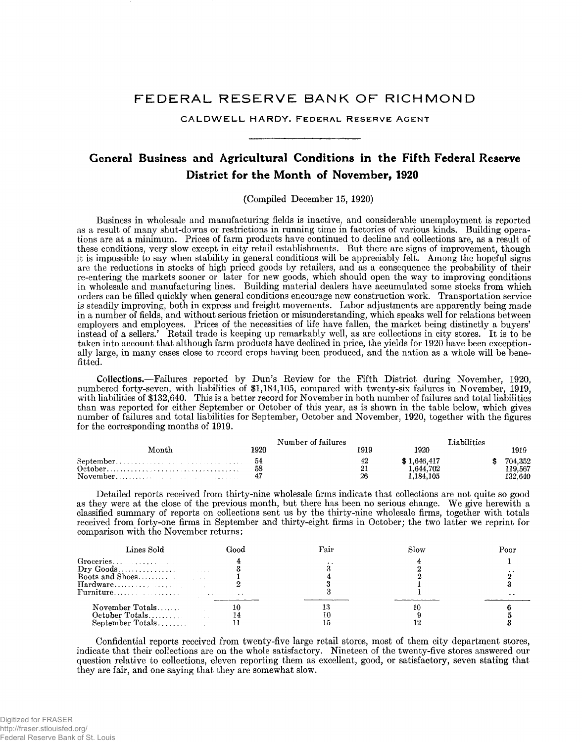# FEDERAL RESERVE BANK OF RICHMOND

CALDWELL HARDY, FEDERAL RESERVE AGENT

# General Business and Agricultural Conditions in the Fifth Federal Reserve District for the Month of November, 1920

(Compiled December 15, 1920)

Business in wholesale and manufacturing fields is inactive, and considerable unemployment is reported as a result of many shut-downs or restrictions in running time in factories of various kinds. Building operations are at a minimum. Prices of farm products have continued to decline and collections are, as a result of these conditions, very slow except in city retail establishments. But there are signs of improvement, though it is impossible to say when stability in general conditions will be appreciably felt. Among the hopeful signs are the reductions in stocks of high priced goods by retailers, and as a consequence the probability of their re-entering the markets sooner or later for new goods, which should open the way to improving conditions in wholesale and manufacturing lines. Building material dealers have accumulated some stocks from which orders can be filled quickly when general conditions encourage new construction work. Transportation service is steadily improving, both in express and freight movements. Labor adjustments are apparently being made in a number of fields, and without serious friction or misunderstanding, which speaks well for relations between employers and employees. Prices of the necessities of life have fallen, the market being distinctly a buyers' instead of a sellers.' Retail trade is keeping up remarkably well, as are collections in city stores. It is to be taken into account that although farm products have declined in price, the yields for 1920 have been exceptionally large, in many cases close to record crops having been produced, and the nation as a whole will be benefitted.

**Collections.**— Failures reported by Dun's Review for the Fifth District during November, 1920, numbered forty-seven, with liabilities of \$1,184,105, compared with twenty-six failures in November, 1919, with liabilities of \$132,640. This is a better record for November in both number of failures and total liabilities than was reported for either September or October of this year, as is shown in the table below, which gives number of failures and total liabilities for September, October and November, 1920, together with the figures for the corresponding months of 1919.

|       |      | Number of failures |             | iabilities |         |
|-------|------|--------------------|-------------|------------|---------|
| Month | 1920 |                    | 1920        |            | 1919    |
|       |      |                    | \$1.646.417 |            | 704.352 |
|       |      |                    | . .644.702  |            | 19.567  |
|       |      | 96                 | .184.105    |            | 132.640 |

Detailed reports received from thirty-nine wholesale firms indicate that collections are not quite so good as they were at the close of the previous month, but there has been no serious change. We give herewith a classified summary of reports on collections sent us by the thirty-nine wholesale firms, together with totals received from forty-one firms in September and thirty-eight firms in October; the two latter we reprint for comparison with the November returns:

| Lines Sold                                               | Good          | Slow | Pooi |
|----------------------------------------------------------|---------------|------|------|
|                                                          |               |      |      |
| $\text{Dry } \text{Goods} \dots \dots \dots \dots \dots$ |               |      |      |
|                                                          |               |      |      |
|                                                          |               |      |      |
|                                                          | $\sim$ $\sim$ |      | . .  |
| November Totals                                          |               |      |      |
|                                                          |               |      |      |
| $September$ $Totals$                                     |               |      |      |

Confidential reports received from twenty-five large retail stores, most of them city department stores, indicate that their collections are on the whole satisfactory. Nineteen of the twenty-five stores answered our question relative to collections, eleven reporting them as excellent, good, or satisfactory, seven stating that they are fair, and one saying that they are somewhat slow.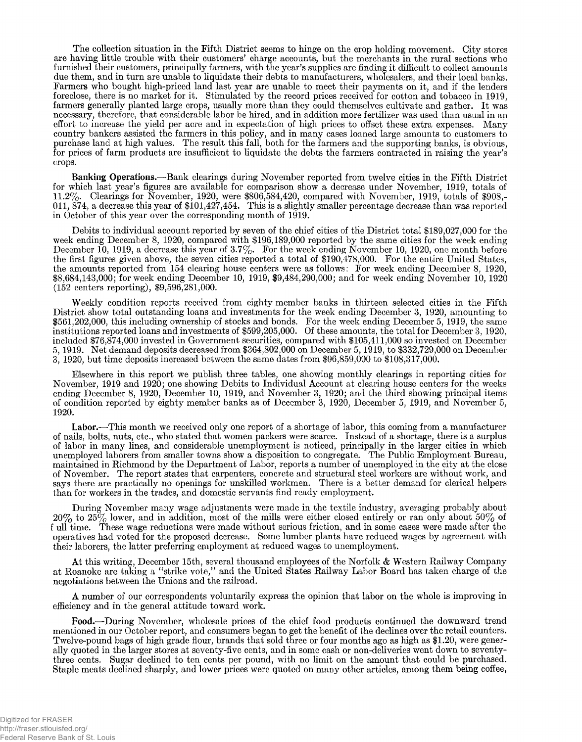The collection situation in the Fifth District seems to hinge on the crop holding movement. City stores are having little trouble with their customers' charge accounts, but the merchants in the rural sections who furnished their customers, principally farmers, with the year's supplies are finding it difficult to collect amounts due them, and in turn are unable to liquidate their debts to manufacturers, wholesalers, and their local banks. Farmers who bought high-priced land last year are unable to meet their payments on it, and if the lenders foreclose, there is no market for it. Stimulated by the record prices received for cotton and tobacco in 1919, farmers generally planted large crops, usually more than they could themselves cultivate and gather. It was necessary, therefore, that considerable labor be hired, and in addition more fertilizer was used than usual in an effort to increase the yield per acre and in expectation of high prices to offset these extra expenses. Many country bankers assisted the farmers in this policy, and in many cases loaned large amounts to customers to purchase land at high values. The result this fall, both for the farmers and the supporting banks, is obvious, for prices of farm products are insufficient to liquidate the debts the farmers contracted in raising the year's crops.

**Banking Operations.**— Bank clearings during November reported from twelve cities in the Fifth District for which last year's figures are available for comparison show a decrease under November, 1919, totals of 11.2%. Clearings for November, 1920, were \$806,584,420, compared with November, 1919, totals of \$908,- 011, 874, a decrease this year of \$101,427,454. This is a slightly smaller percentage decrease than was reported in October of this year over the corresponding month of 1919.

Debits to individual account reported by seven of the chief cities of the District total \$189,027,000 for the week ending December 8, 1920, compared with \$196,189,000 reported by the same cities for the week ending December 10, 1919, a decrease this year of 3.7%. For the week ending November 10, 1920, one month before the first figures given above, the seven cities reported a total of \$190,478,000. For the entire United States, the amounts reported from 154 clearing house centers were as follows: For week ending December 8, 1920, \$8,684,143,000; for week ending December 10, 1919, \$9,484,290,000; and for week ending November 10, 1920 (152 centers reporting), \$9,596,281,000.

Weekly condition reports received from eighty member banks in thirteen selected cities in the Fifth District show total outstanding loans and investments for the week ending December 3, 1920, amounting to \$561,202,000, this including ownership of stocks and bonds. For the week ending December 5, 1919, the same institutions reported loans and investments of \$599,205,000. Of these amounts, the total for December 3, 1920, included \$76,874,000 invested in Government securities, compared with \$105,411,000 so invested on December 5, 1919. Net demand deposits decreased from \$364,802,000 on December 5,1919, to \$332,729,000 on December 3, 1920, but time deposits increased between the same dates from \$96,859,000 to \$108,317,000.

Elsewhere in this report we publish three tables, one showing monthly clearings in reporting cities for November, 1919 and 1920; one showing Debits to Individual Account at clearing house centers for the weeks ending December 8, 1920, December 10, 1919, and November 3, 1920; and the third showing principal items of condition reported by eighty member banks as of December 3, 1920, December 5, 1919, and November 5, 1920.

**Labor.**— This month we received only one report of a shortage of labor, this coming from a manufacturer of nails, bolts, nuts, etc., who stated that women packers were scarce. Instead of a shortage, there is a surplus of labor in many lines, and considerable unemployment is noticed, principally in the larger cities in which unemployed laborers from smaller towns show a disposition to congregate. The Public Employment Bureau, maintained in Richmond by the Department of Labor, reports a number of unemployed in the city at the close of November. The report states that carpenters, concrete and structural steel workers are without work, and says there are practically no openings for unskilled workmen. There is a better demand for clerical helpers than for workers in the trades, and domestic servants find ready employment.

During November many wage adjustments were made in the textile industry, averaging probably about  $20\%$  to  $25\%$  lower, and in addition, most of the mills were either closed entirely or ran only about  $50\%$  of f ull time. These wage reductions were made without serious friction, and in some cases were made after the operatives had voted for the proposed decrease. Some lumber plants have reduced wages by agreement with their laborers, the latter preferring employment at reduced wages to unemployment.

At this writing, December 15th, several thousand employees of the Norfolk & Western Railway Company at Roanoke are taking a " strike vote," and the United States Railway Labor Board has taken charge of the negotiations between the Unions and the railroad.

A number of our correspondents voluntarily express the opinion that labor on the whole is improving in efficiency and in the general attitude toward work.

**Food.**—During November, wholesale prices of the chief food products continued the downward trend mentioned in our October report, and consumers began to get the benefit of the declines over the retail counters. Twelve-pound bags of high grade flour, brands that sold three or four months ago as high as \$1.20, were generally quoted in the larger stores at seventy-five cents, and in some cash or non-deliveries went down to seventythree cents. Sugar declined to ten cents per pound, with no limit on the amount that could be purchased. Staple meats declined sharply, and lower prices were quoted on many other articles, among them being coffee,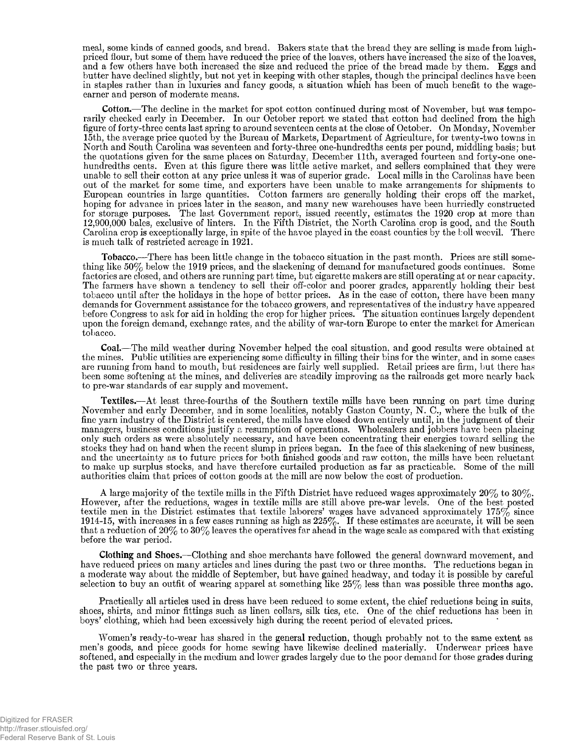meal, some kinds of canned goods, and bread. Bakers state that the bread they are selling is made from highpriced flour, but some of them have reduced the price of the loaves, others have increased the size of the loaves, and a few others have both increased the size and reduced the price of the bread made by them. Eggs and butter have declined shghtly, but not yet in keeping with other staples, though the principal declines have been in staples rather than in luxuries and fancy goods, a situation which has been of much benefit to the wageearner and person of moderate means.

**Cotton.**— The decline in the market for spot cotton continued during most of November, but was temporarily checked early in December. In our October report we stated that cotton had declined from the high figure of forty-three cents last spring to around seventeen cents at the close of October. On Monday, November 15th, the average price quoted by the Bureau of Markets, Department of Agriculture, for twenty-two towns in North and South Carolina was seventeen and forty-three one-hundredths cents per pound, middling basis; but the quotations given for the same places on Saturday. December 11th, averaged fourteen and forty-one onehundredths cents. Even at this figure there was little active market, and sellers complained that they were unable to sell their cotton at any price unless it was of superior grade. Local mills in the Carolinas have been out of the market for some time, and exporters have been unable to make arrangements for shipments to European countries in large quantities. Cotton farmers are generally holding their crops off the market, hoping for advance in prices later in the season, and many new warehouses have been hurriedly constructed for storage purposes. The last Government report, issued recently, estimates the 1920 crop at more than 12,900,000 bales, exclusive of linters. In the Fifth District, the North Carolina crop is good, and the South Carolina crop is exceptionally large, in spite of the havoc played in the coast counties by the boll weevil. There is much talk of restricted acreage in 1921.

**Tobacco.**—There has been little change in the tobacco situation in the past month. Prices are still something like 50% below the 1919 prices, and the slackening of demand for manufactured goods continues. Some factories are closed, and others are running part time, but cigarette makers are still operating at or near capacity. The farmers have shown a tendency to sell their off-color and poorer grades, apparently holding their best tobacco until after the holidays in the hope of better prices. As in the case of cotton, there have been many demands for Government assistance for the tobacco growers, and representatives of the industry have appeared before Congress to ask for aid in holding the crop for higher prices. The situation continues largely dependent upon the foreign demand, exchange rates, and the ability of war-torn Europe to enter the market for American tobacco.

**Coal.**— The mild weather during November helped the coal situation, and good results were obtained at the mines. Public utilities are experiencing some difficulty in filling their bins for the winter, and in some cases are running from hand to mouth, but residences are fairly well supplied. Retail prices are firm, but there has been some softening at the mines, and deliveries are steadily improving as the railroads get more nearly back to pre-war standards of car supply and movement.

**Textiles.**— At least three-fourths of the Southern textile mills have been running on part time during November and early December, and in some localities, notably Gaston County, N. C., where the bulk of the fine yarn industry of the District is centered, the mills have closed down entirely until, in the judgment of their managers, business conditions justify a resumption of operations. Wholesalers and jobbers have been placing only such orders as were absolutely necessary, and have been concentrating their energies toward selling the stocks they had on hand when the recent slump in prices began. In the face of this slackening of new business, and the uncertainty as to future prices for both finished goods and raw cotton, the mills have been reluctant to make up surplus stocks, and have therefore curtailed production as far as practicable. Some of the mill authorities claim that prices of cotton goods at the mill are now below the cost of production.

A large majority of the textile mills in the Fifth District have reduced wages approximately  $20\%$  to  $30\%$ . However, after the reductions, wages in textile mills are still above pre-war levels. One of the best posted textile men in the District estimates that textile laborers' wages have advanced approximately  $175\%$  since 1914-15, with increases in a few cases running as high as  $225\%$ . If these estimates are accurate, it will be seen that a reduction of  $20\%$  to  $30\%$  leaves the operatives far ahead in the wage scale as compared with that existing before the war period.

**Clothing and Shoes.**— Clothing and shoe merchants have followed the general downward movement, and have reduced prices on many articles and lines during the past two or three months. The reductions began in a moderate way about the middle of September, but have gained headway, and today it is possible by careful selection to buy an outfit of wearing apparel at something like  $25\%$  less than was possible three months ago.

Practically all articles used in dress have been reduced to some extent, the chief reductions being in suits, shoes, shirts, and minor fittings such as linen collars, silk ties, etc. One of the chief reductions has been in boys' clothing, which had been excessively high during the recent period of elevated prices.

Women's ready-to-wear has shared in the general reduction, though probably not to the same extent as men's goods, and piece goods for home sewing have likewise declined materially. Underwear prices have softened, and especially in the medium and lower grades largely due to the poor demand for those grades during the past two or three years.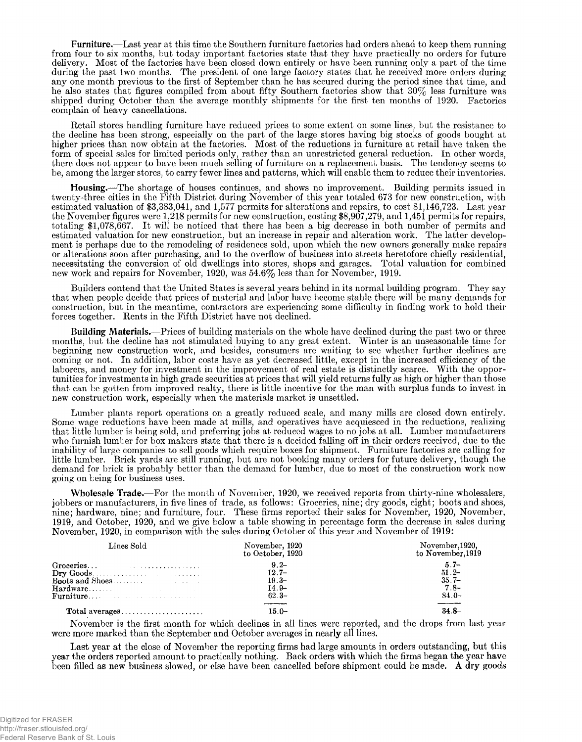**Furniture.**— Last year at this time the Southern furniture factories had orders ahead to keep them running from four to six months, but today important factories state that they have practically no orders for future delivery. Most of the factories have been closed down entirely or have been running only a part of the time during the past two months. The president of one large factory states that he received more orders during any one month previous to the first of September than he has secured during the period since that time, and he also states that figures compiled from about fifty Southern factories show that 30% less furniture was shipped during October than the average monthly shipments for the first ten months of 1920. Factories complain of heavy cancellations.

Retail stores handling furniture have reduced prices to some extent on some lines, but the resistance to the decline has been strong, especially on the part of the large stores having big stocks of goods bought at higher prices than now obtain at the factories. Most of the reductions in furniture at retail have taken the form of special sales for limited periods only, rather than an unrestricted general reduction. In other words, there does not appear to have been much selling of furniture on a replacement basis. The tendency seems to be, among the larger stores, to carry fewer lines and patterns, which will enable them to reduce their inventories.

**Housing.**— The shortage of houses continues, and shows no improvement. Building permits issued in twenty-three cities in the Fifth District during November of this year totaled 673 for new construction, with estimated valuation of \$3,383,041, and 1,577 permits for alterations and repairs, to cost \$1,146,723. Last year the November figures were 1,218 permits for new construction, costing \$8,907,279, and 1,451 permits for repairs, totaling \$1,078,667. It will be noticed that there has been a big decrease in both number of permits and estimated valuation for new construction, but an increase in repair and alteration work. The latter development is perhaps due to the remodeling of residences sold, upon which the new owners generally make repairs or alterations soon after purchasing, and to the overflow of business into streets heretofore chiefly residential, necessitating the conversion of old dwellings into stores, shops and garages. Total valuation for combined new work and repairs for November, 1920, was 54.6% less than for November, 1919.

Builders contend that the United States is several years behind in its normal building program. They say that when people decide that prices of material and labor have become stable there will be many demands for construction, but in the meantime, contractors are experiencing some difficulty in finding work to hold their forces together. Rents in the Fifth District have not declined.

**Building Materials.**—Prices of building materials on the whole have declined during the past two or three months, but the decline has not stimulated buying to any great extent. Winter is an unseasonable time for beginning new construction work, and besides, consumers are waiting to see whether further declines are coming or not. In addition, labor costs have as yet decreased little, except in the increased efficiency of the laborers, and money for investment in the improvement of real estate is distinctly scarce. With the opportunities for investments in high grade securities at prices that will yield returns fully as high or higher than those that can be gotten from improved realty, there is little incentive for the man with surplus funds to invest in new construction work, especially when the materials market is unsettled.

Lumber plants report operations on a greatly reduced scale, and many mills are closed down entirely. Some wage reductions have been made at mills, and operatives have acquiesced in the reductions, realizing that little lumber is being sold, and preferring jobs at reduced wages to no jobs at all. Lumber manufacturers who furnish lumber for box makers state that there is a decided falling off in their orders received, due to the inability of large companies to sell goods which require boxes for shipment. Furniture factories are calling for little lumber. Brick yards are still running, but are not booking many orders for future delivery, though the demand for brick is probably better than the demand for lumber, due to most of the construction work now going on being for business uses.

**Wholesale Trade.**— For the month of November, 1920, we received reports from thirty-nine wholesalers, jobbers or manufacturers, in five lines of trade, as follows: Groceries, nine; dry goods, eight; boots and shoes, nine; hardware, nine; and furniture, four. These firms reported their sales for November, 1920, November, 1919, and October, 1920, and we give below a table showing in percentage form the decrease in sales during November, 1920, in comparison with the sales during October of this year and November of 1919:

| Lines Sold                                                                                                                                                                                                                 | November, 1920<br>to October, 1920 | November, 1920,<br>to November.1919 |
|----------------------------------------------------------------------------------------------------------------------------------------------------------------------------------------------------------------------------|------------------------------------|-------------------------------------|
|                                                                                                                                                                                                                            | $9.2 -$                            | $5.7-$                              |
|                                                                                                                                                                                                                            | $12.7 -$                           | $51.2 -$                            |
|                                                                                                                                                                                                                            | $19.3 -$                           | $35.7-$                             |
|                                                                                                                                                                                                                            | $14.9-$                            | $7.8-$                              |
| Furniture Contract the contract of the second state of the second state of the second state of the second state of the second state of the second state of the second state of the second state of the second state of the | $62.3-$                            | $84.0-$                             |
| Total averages                                                                                                                                                                                                             | $15.0 -$                           | $34.8-$                             |

November is the first month for which declines in all lines were reported, and the drops from last year were more marked than the September and October averages in nearly all lines.

Last year at the close of November the reporting firms had large amounts in orders outstanding, but this year the orders reported amount to practically nothing. Back orders with which the firms began the year have been filled as new business slowed, or else have been cancelled before shipment could be made. **A** dry goods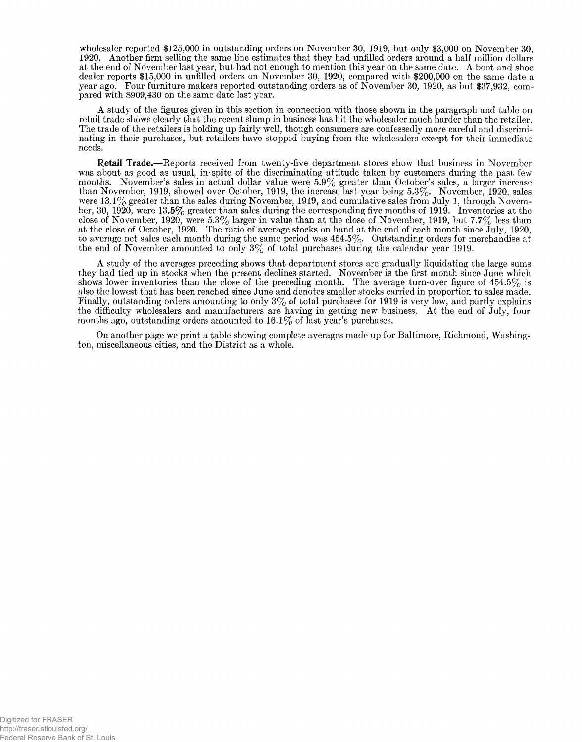wholesaler reported \$125,000 in outstanding orders on November 30, 1919, but only \$3,000 on November 30, 1920. Another firm selling the same line estimates that they had unfilled orders around a half million dollars at the end of November last year, but had not enough to mention this year on the same date. A boot and shoe dealer reports \$15,000 in unfilled orders on November 30, 1920, compared with \$200,000 on the same date a year ago. Four furniture makers reported outstanding orders as of November 30, 1920, as but \$37,932, compared with \$909,430 on the same date last year.

A study of the figures given in this section in connection with those shown in the paragraph and table on retail trade shows clearly that the recent slump in business has hit the wholesaler much harder than the retailer. The trade of the retailers is holding up fairly well, though consumers are confessedly more careful and discriminating in their purchases, but retailers have stopped buying from the wholesalers except for their immediate needs.

**Retail Trade.**— Reports received from twenty-five department stores show that business in November was about as good as usual, in spite of the discriminating attitude taken by customers during the past few months. November's sales in actual dollar value were  $5.9\%$  greater than October's sales, a larger increase than November, 1919, showed over October, 1919, the increase last year being  $5.3\%$ . November, 1920, sales were 13.1% greater than the sales during November, 1919, and cumulative sales from July 1, through November, 30, 1920, were 13.5% greater than sales during the corresponding five months of 1919. Inventories at the close of November, 1920, were 5.3% larger in value than at the close of November, 1919, but 7.7% less than at the close of October, 1920. The ratio of average stocks on hand at the end of each month since July, 1920, to average net sales each month during the same period was  $454.5\%$ . Outstanding orders for merchandise at the end of November amounted to only  $3\%$  of total purchases during the calendar year 1919,

A study of the averages preceding shows that department stores are gradually liquidating the large sums they had tied up in stocks when the present declines started. November is the first month since June which shows lower inventories than the close of the preceding month. The average turn-over figure of 454.5% is also the lowest that has been reached since June and denotes smaller stocks carried in proportion to sales made. Finally, outstanding orders amounting to only  $3\%$  of total purchases for 1919 is very low, and partly explains the difficulty wholesalers and manufacturers are having in getting new business. At the end of July, four months ago, outstanding orders amounted to  $16.1\%$  of last year's purchases.

On another page we print a table showing complete averages made up for Baltimore, Richmond, Washington, miscellaneous cities, and the District as a whole.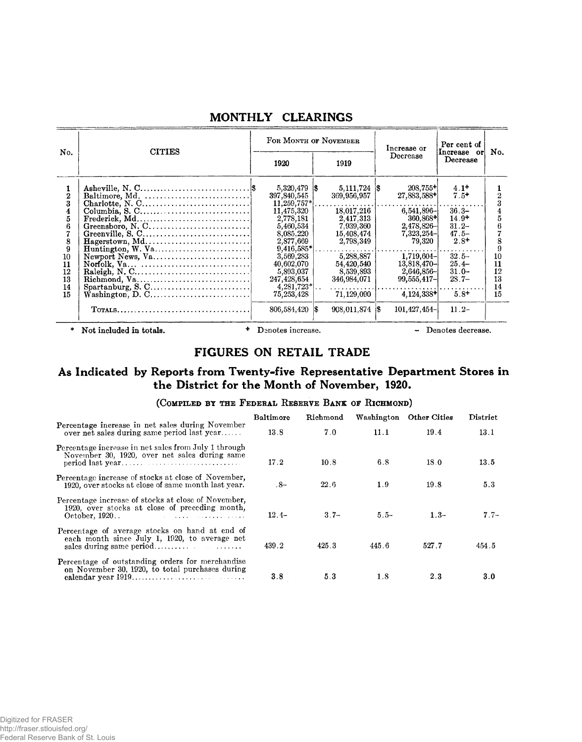|                                                                                         |                                                                                                              |                                                                                                                                                                                                             | FOR MONTH OF NOVEMBER                                                                                                                                                                                                                                                                 | Increase or                                                                                                                                                                                              | Per cent of                                                                                                                                |                                                 |
|-----------------------------------------------------------------------------------------|--------------------------------------------------------------------------------------------------------------|-------------------------------------------------------------------------------------------------------------------------------------------------------------------------------------------------------------|---------------------------------------------------------------------------------------------------------------------------------------------------------------------------------------------------------------------------------------------------------------------------------------|----------------------------------------------------------------------------------------------------------------------------------------------------------------------------------------------------------|--------------------------------------------------------------------------------------------------------------------------------------------|-------------------------------------------------|
| No.                                                                                     | <b>CITIES</b>                                                                                                | 1920                                                                                                                                                                                                        | 1919                                                                                                                                                                                                                                                                                  | Decrease                                                                                                                                                                                                 | Increase or<br>Decrease                                                                                                                    | No.                                             |
| 1<br>$\mathbf 2$<br>3<br>4<br>5<br>6<br>7<br>8<br>9<br>10<br>11<br>12<br>13<br>14<br>15 | Baltimore, Md.<br>Charlotte, N. C<br>Frederick, Md<br>Greensboro, N. C<br>Hagerstown, Md<br>Newport News, Va | 397,840,545<br>11,475,320<br>2,778,181<br>5,460,534<br>8,085,220<br>2,877,669<br>9,416,585*<br>3,569,283<br>40,602,070<br>5,893,037<br>247,428,654<br>$4,281,723$ <sup>*</sup><br>75,253,428<br>806,584,420 | $5,111,724$ $\vert \text{\$}$<br>369,956,957<br>$11,259,757$ * $\dots\dots\dots\dots\dots\dots$<br>18,017,216<br>2,417,313<br>7,939,360<br>15,408,474<br>2,798,349<br>5,288,887<br>54,420,540<br>8,539,893<br>346,984,071<br>. <i>. . .</i> 1<br>71,129,090<br>$908,011,874$ \$<br>18 | $208,755+$<br>27,883,588+<br>$6,541,896$ -<br>$360,868+$<br>$2.478,826 -$<br>$7,323,254-$<br>79.320<br>$1,719,604-$<br>$13,818,470-$<br>$2,646,856 -$<br>$99,555,417-$<br>$4,124,338+$<br>$101,427,454-$ | $4.1+$<br>$7.5+$<br>$36.3-$<br>$14.9+$<br>$31.2 -$<br>$47.5 -$<br>$2.8+$<br>$32.5-$<br>$25.4-$<br>$31.0 -$<br>$28.7-$<br>$5.8+$<br>$11.2-$ | 3<br>8<br>9<br>10<br>11<br>12<br>13<br>14<br>15 |
| *                                                                                       | Not included in totals.                                                                                      | Denotes increase.                                                                                                                                                                                           |                                                                                                                                                                                                                                                                                       |                                                                                                                                                                                                          | Denotes decrease.                                                                                                                          |                                                 |

## MONTHLY CLEARINGS

## FIGURES ON RETAIL TRADE

# As Indicated by Reports from Twenty-five Representative Department Stores in the District for the Month of November, 1920.

## (COMPILED BY THE FEDERAL RESERVE BANK OF RICHMOND)

|                                                                                                                                                                                                                                                                                                                                                                | Baltimore | Richmond | Washington | Other Cities | District |
|----------------------------------------------------------------------------------------------------------------------------------------------------------------------------------------------------------------------------------------------------------------------------------------------------------------------------------------------------------------|-----------|----------|------------|--------------|----------|
| Percentage increase in net sales during November<br>over net sales during same period last year                                                                                                                                                                                                                                                                | 13.8      | 7.0      | 11.1       | 19.4         | 13.1     |
| Percentage increase in net sales from July 1 through<br>November 30, 1920, over net sales during same                                                                                                                                                                                                                                                          | 17.2      | 10.8     | 6.8        | 18.0         | 13.5     |
| Percentage increase of stocks at close of November,<br>1920, over stocks at close of same month last year.                                                                                                                                                                                                                                                     | .8–       | 22.6     | 1.9        | 19.8         | 5.3      |
| Percentage increase of stocks at close of November,<br>1920, over stocks at close of preceding month,<br>October, 1920<br><u> 1980 - Jan Barbara de Alexandro de Alexandro de Alexandro de Alexandro de Alexandro de Alexandro de Alexandro de Alexandro de Alexandro de Alexandro de Alexandro de Alexandro de Alexandro de Alexandro de Alexandro de Ale</u> | $12.4-$   | $3.7-$   | $5.5-$     | $1.3-$       | $7.7-$   |
| Percentage of average stocks on hand at end of<br>each month since July 1, 1920, to average net                                                                                                                                                                                                                                                                | 439.2     | 425.3    | 445.6      | 527.7        | 454.5    |
| Percentage of outstanding orders for merchandise<br>on November 30, 1920, to total purchases during                                                                                                                                                                                                                                                            | 3.8       | 5.3      | 1.8        | 2.3          | 3.0      |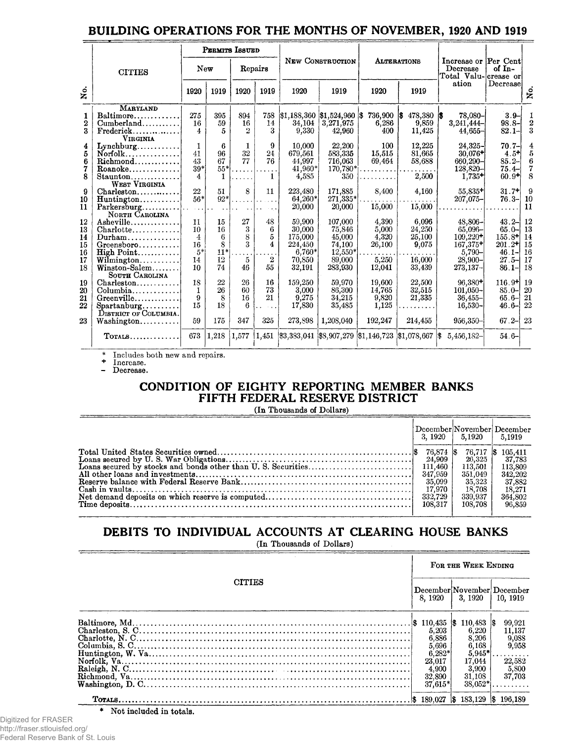|                                |                                       |                | PERMITS ISSUED |      |                      |           |                                     |         |                    |                                                                             |                 |                  |
|--------------------------------|---------------------------------------|----------------|----------------|------|----------------------|-----------|-------------------------------------|---------|--------------------|-----------------------------------------------------------------------------|-----------------|------------------|
|                                | <b>CITIES</b>                         |                | New            |      | Repairs              |           | NEW CONSTRUCTION                    |         | <b>ALTERATIONS</b> | Increase or Per Cent<br>Decrease<br>$Total$ Valu- $\vert$ crease or $\vert$ | of $In-$        |                  |
| $\stackrel{\circ}{\mathtt{x}}$ |                                       | 1920           | 1919           | 1920 | 1919                 | 1920      | 1919                                | 1920    | 1919               | ation                                                                       | Decrease        | ż                |
|                                | <b>MARYLAND</b>                       |                |                |      |                      |           |                                     |         |                    |                                                                             |                 |                  |
| 1                              | Baltimore                             | 275            | 395            | 894  | 758                  |           | $ \$1,188,360 \; \$1,524,960 \; \$$ | 736,900 | 478,380            | 78.080-<br>-136                                                             | $3.9 -$         | 1                |
| $\mathbf 2$                    | Cumberland                            | 16             | 59             | 16   | 14                   | 34,104    | 3,271,975                           | 6,286   | 9,859              | $3,241,444-$                                                                | $98.8 -$        | $\boldsymbol{2}$ |
| 3                              | $Frederick \ldots \ldots$             | $\overline{4}$ | 5              | 9.   | 3                    | 9,330     | 42.960                              | 400     | 11,425             | $44,655 -$                                                                  | $82.1 -$        | 3                |
|                                | VIRGINIA                              |                |                |      |                      |           |                                     |         |                    |                                                                             |                 |                  |
| 4                              | $Lynchburg$                           |                | 6              |      | 9                    | 10,000    | 22,200                              | 100     | 12,225             | $24,325 -$                                                                  | $70.7 -$        | 4                |
| 5                              | $N$ orfolk                            | 41             | 96             | 32   | 24                   | 679,561   | 583,335                             | 15,515  | 81,665             | $30,076+$                                                                   | $4.5^{\dagger}$ | 5                |
| 6                              | Richmond                              | 43             | 67             | 77   | 76                   | 44.997    | 716,063                             | 69,464  | 58,688             | $660,290 -$                                                                 | $85.2 -$        | 6                |
| 7                              | Roanoke                               | $39*$          | $55*$          |      |                      | $41,960*$ | 170,780*                            |         |                    | 128,820-                                                                    | $75.4 -$        | $\overline{7}$   |
| 8                              | Staunton                              | 4              |                |      |                      | 4,585     | 350                                 |         | 2,500              | $1,735+$                                                                    | $60.9+$         | 8                |
|                                | WEST VIRGINIA                         |                |                |      |                      |           |                                     |         |                    |                                                                             |                 |                  |
| 9                              |                                       | 22             | 51             | 8    | 11                   | 223,480   | 171,885                             | 8,400   | 4,160              | 55,835+                                                                     | $31.7+$         | 9                |
| 10                             | $Huntington$                          | $56*$          | $92*$          |      |                      | 64,260*   | $271,335*$                          | .       |                    | $207,075 -$                                                                 | $76.3 -$        | 10               |
| 11                             | $Parkersburg \dots$                   |                |                |      | $\sim$ $\sim$ $\sim$ | 20,000    | 20,000                              | 15,000  | 15,000             |                                                                             |                 | -11              |
|                                | NORTH CAROLINA                        |                |                |      |                      |           |                                     |         |                    |                                                                             |                 |                  |
| 12                             | Asheville                             | 11             | 15             | 27   | 48                   | 59,900    | 107,000                             | 4,390   | 6,096              | $48,806 -$                                                                  | $43.2 -$        | 12               |
| 13                             | $Charlotte \ldots \ldots \ldots$      | 10             | 16             | 3    | 6                    | 30,000    | 75,846                              | 5,000   | 24,250             | $65,096 -$                                                                  | $65.0 -$        | 13               |
| 14                             | $Durham \dots \dots \dots \dots$      | 4              | 6              | 8    | 5                    | 175.000   | 45,000                              | 4,320   | 25,100             | $109,220+$                                                                  | $155.8 +$       | 14               |
| 15                             | Greensboro                            | 16             | 8              | 3    | 4                    | 224,450   | 74,100                              | 26,100  | 9,075              | 167,375+                                                                    | $201.2+$        | 15               |
| 16                             | $\text{High Point} \dots \dots \dots$ | $5^\ast$       | $11*$          | .    |                      | $6,760*$  | $12,550*$                           |         |                    | $5,790 -$                                                                   | $46.1 -$        | 16               |
| 17                             | Wilmington                            | 14             | 12             | 5    | $\boldsymbol{2}$     | 70,850    | 89,000                              | 5,250   | 16,000             | $28,900 -$                                                                  | $27.5 -$        | 17               |
| 18                             | $\text{Winstein-Salem}\dots\dots\,.$  | 10             | 74             | 46   | 55                   | 32,191    | 283,930                             | 12,041  | 33,439             | 273,137–                                                                    | $86.1 -$        | 18               |
|                                | SOUTH CAROLINA                        |                |                |      |                      |           |                                     |         |                    |                                                                             |                 |                  |

# BUILDING OPERATIONS FOR THE MONTHS OF NOVEMBER, 1920 AND 1919

**\* Includes both new and repairs.**

**673 1,218**

**1,577 1,451**

**16 73 21**

**325**

**+ Increase.**

#### **- Decrease.**

Charleston........... Columbia............. Greenville............ Spartanburg..........<br>District of Columbia. Washington........... **T otals.**

## CONDITION OF EIGHTY REPORTING MEMBER BANKS FIFTH FEDERAL RESERVE DISTRICT

**3,383,041 \$8,907,279 1,146,723 \$1,078,667 \$ 5,456,182-**

**19,600 14,765 9,820 1,125 192,247**

**22,500 32,515 21,335**

**96,380+ 101,050- 36,455- 16,530- 956,350-** **116.9+ 85.0- 65.6- 46.6- 67.2- 23 54.6-**

**214,455**

. . . . . .

**159,250 3,000 9,275 17,830 273,898**

**59,970 86,300 34,215 35,485 1,208,040**

**(In Thousands of Dollars)**

|  | $3.1920 \pm 5.1920 \pm 5.1919$                                           | December November December                                             |
|--|--------------------------------------------------------------------------|------------------------------------------------------------------------|
|  | 26.325<br>113.501  <br>351.049<br>35.323<br>18.708<br>339.937<br>108.708 | 37,783<br>113.809<br>342, 202<br>37,882<br>18.271<br>364,802<br>96,859 |

# DEBITS TO INDIVIDUAL ACCOUNTS AT CLEARING HOUSE BANKS

**(In Thousands of Dollars)**

| <b>CITIES</b><br>8.1920<br>5,696<br>$6,282*$<br>23,017<br>4,900<br>32,890<br>37,615* | FOR THE WEEK ENDING                                                                                                            |       |  |
|--------------------------------------------------------------------------------------|--------------------------------------------------------------------------------------------------------------------------------|-------|--|
|                                                                                      | December November December<br>3.1920<br>10, 1919                                                                               |       |  |
|                                                                                      | 99,921<br>11,137<br>9,088<br>6,168<br>9.958<br>$5.945*$<br>22,582<br>17,044<br>3,900<br>5,800<br>37,703<br>31.108<br>$38,052*$ |       |  |
|                                                                                      | 196.189<br>189.027<br>183.129 \$<br>-156                                                                                       | . 135 |  |